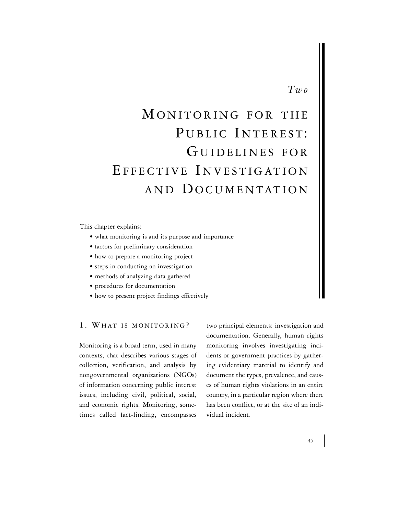## *Two*

# MONITORING FOR THE PUBLIC INTEREST: GUIDELINES FOR EFFECTIVE INVESTIGATION AND DOCUMENTATION

This chapter explains:

- what monitoring is and its purpose and importance
- factors for preliminary consideration
- how to prepare a monitoring project
- steps in conducting an investigation
- methods of analyzing data gathered
- procedures for documentation
- how to present project findings effectively

1. WHAT IS MONITORING ?

Monitoring is a broad term, used in many contexts, that describes various stages of collection, verification, and analysis by nongovernmental organizations (NGOs) of information concerning public interest issues, including civil, political, social, and economic rights. Monitoring, sometimes called fact-finding, encompasses

two principal elements: investigation and documentation. Generally, human rights monitoring involves investigating incidents or government practices by gathering evidentiary material to identify and document the types, prevalence, and causes of human rights violations in an entire country, in a particular region where there has been conflict, or at the site of an individual incident.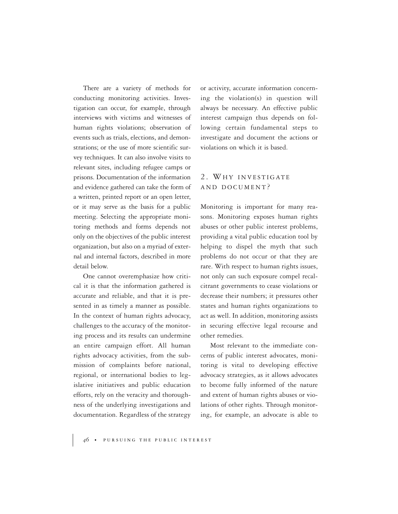There are a variety of methods for conducting monitoring activities. Investigation can occur, for example, through interviews with victims and witnesses of human rights violations; observation of events such as trials, elections, and demonstrations; or the use of more scientific survey techniques. It can also involve visits to relevant sites, including refugee camps or prisons. Documentation of the information and evidence gathered can take the form of a written, printed report or an open letter, or it may serve as the basis for a public meeting. Selecting the appropriate monitoring methods and forms depends not only on the objectives of the public interest organization, but also on a myriad of external and internal factors, described in more detail below.

One cannot overemphasize how critical it is that the information gathered is accurate and reliable, and that it is presented in as timely a manner as possible. In the context of human rights advocacy, challenges to the accuracy of the monitoring process and its results can undermine an entire campaign effort. All human rights advocacy activities, from the submission of complaints before national, regional, or international bodies to legislative initiatives and public education efforts, rely on the veracity and thoroughness of the underlying investigations and documentation. Regardless of the strategy or activity, accurate information concerning the violation(s) in question will always be necessary. An effective public interest campaign thus depends on following certain fundamental steps to investigate and document the actions or violations on which it is based.

## 2. WHY INVESTIGATE AND DOCUMENT ?

Monitoring is important for many reasons. Monitoring exposes human rights abuses or other public interest problems, providing a vital public education tool by helping to dispel the myth that such problems do not occur or that they are rare. With respect to human rights issues, not only can such exposure compel recalcitrant governments to cease violations or decrease their numbers; it pressures other states and human rights organizations to act as well. In addition, monitoring assists in securing effective legal recourse and other remedies.

Most relevant to the immediate concerns of public interest advocates, monitoring is vital to developing effective advocacy strategies, as it allows advocates to become fully informed of the nature and extent of human rights abuses or violations of other rights. Through monitoring, for example, an advocate is able to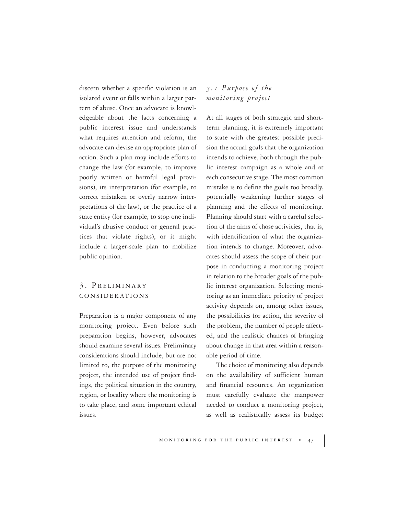discern whether a specific violation is an isolated event or falls within a larger pattern of abuse. Once an advocate is knowledgeable about the facts concerning a public interest issue and understands what requires attention and reform, the advocate can devise an appropriate plan of action. Such a plan may include efforts to change the law (for example, to improve poorly written or harmful legal provisions), its interpretation (for example, to correct mistaken or overly narrow interpretations of the law), or the practice of a state entity (for example, to stop one individual's abusive conduct or general practices that violate rights), or it might include a larger-scale plan to mobilize public opinion.

### 3. PRELIMINARY CONSIDERATIONS

Preparation is a major component of any monitoring project. Even before such preparation begins, however, advocates should examine several issues. Preliminary considerations should include, but are not limited to, the purpose of the monitoring project, the intended use of project findings, the political situation in the country, region, or locality where the monitoring is to take place, and some important ethical issues.

#### *3.1 Purpose of the monitoring project*

At all stages of both strategic and shortterm planning, it is extremely important to state with the greatest possible precision the actual goals that the organization intends to achieve, both through the public interest campaign as a whole and at each consecutive stage. The most common mistake is to define the goals too broadly, potentially weakening further stages of planning and the effects of monitoring. Planning should start with a careful selection of the aims of those activities, that is, with identification of what the organization intends to change. Moreover, advocates should assess the scope of their purpose in conducting a monitoring project in relation to the broader goals of the public interest organization. Selecting monitoring as an immediate priority of project activity depends on, among other issues, the possibilities for action, the severity of the problem, the number of people affected, and the realistic chances of bringing about change in that area within a reasonable period of time.

The choice of monitoring also depends on the availability of sufficient human and financial resources. An organization must carefully evaluate the manpower needed to conduct a monitoring project, as well as realistically assess its budget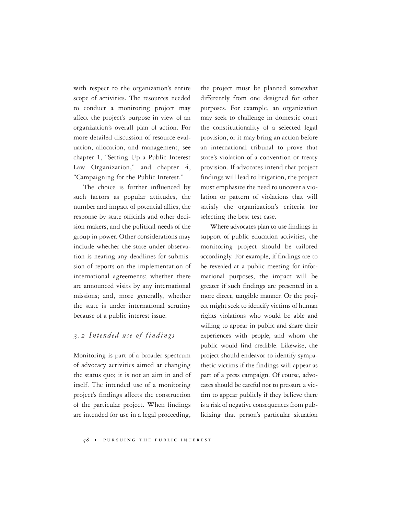with respect to the organization's entire scope of activities. The resources needed to conduct a monitoring project may affect the project's purpose in view of an organization's overall plan of action. For more detailed discussion of resource evaluation, allocation, and management, see chapter 1, "Setting Up a Public Interest Law Organization," and chapter 4, "Campaigning for the Public Interest."

The choice is further influenced by such factors as popular attitudes, the number and impact of potential allies, the response by state officials and other decision makers, and the political needs of the group in power. Other considerations may include whether the state under observation is nearing any deadlines for submission of reports on the implementation of international agreements; whether there are announced visits by any international missions; and, more generally, whether the state is under international scrutiny because of a public interest issue.

#### *3.2 Intended use of findings*

Monitoring is part of a broader spectrum of advocacy activities aimed at changing the status quo; it is not an aim in and of itself. The intended use of a monitoring project's findings affects the construction of the particular project. When findings are intended for use in a legal proceeding,

the project must be planned somewhat differently from one designed for other purposes. For example, an organization may seek to challenge in domestic court the constitutionality of a selected legal provision, or it may bring an action before an international tribunal to prove that state's violation of a convention or treaty provision. If advocates intend that project findings will lead to litigation, the project must emphasize the need to uncover a violation or pattern of violations that will satisfy the organization's criteria for selecting the best test case.

Where advocates plan to use findings in support of public education activities, the monitoring project should be tailored accordingly. For example, if findings are to be revealed at a public meeting for informational purposes, the impact will be greater if such findings are presented in a more direct, tangible manner. Or the project might seek to identify victims of human rights violations who would be able and willing to appear in public and share their experiences with people, and whom the public would find credible. Likewise, the project should endeavor to identify sympathetic victims if the findings will appear as part of a press campaign. Of course, advocates should be careful not to pressure a victim to appear publicly if they believe there is a risk of negative consequences from publicizing that person's particular situation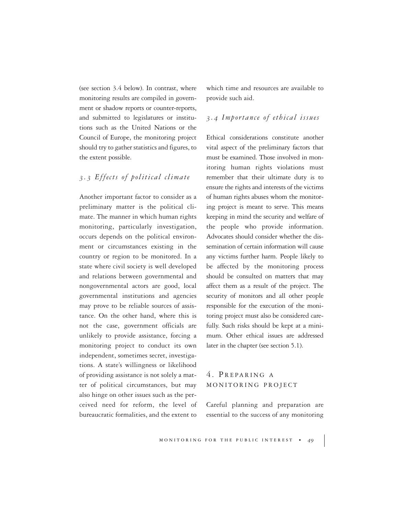(see section 3.4 below). In contrast, where monitoring results are compiled in government or shadow reports or counter-reports, and submitted to legislatures or institutions such as the United Nations or the Council of Europe, the monitoring project should try to gather statistics and figures, to the extent possible.

#### *3.3 Effects of political climate*

Another important factor to consider as a preliminary matter is the political climate. The manner in which human rights monitoring, particularly investigation, occurs depends on the political environment or circumstances existing in the country or region to be monitored. In a state where civil society is well developed and relations between governmental and nongovernmental actors are good, local governmental institutions and agencies may prove to be reliable sources of assistance. On the other hand, where this is not the case, government officials are unlikely to provide assistance, forcing a monitoring project to conduct its own independent, sometimes secret, investigations. A state's willingness or likelihood of providing assistance is not solely a matter of political circumstances, but may also hinge on other issues such as the perceived need for reform, the level of bureaucratic formalities, and the extent to which time and resources are available to provide such aid.

#### *3.4 Importance of ethical issues*

Ethical considerations constitute another vital aspect of the preliminary factors that must be examined. Those involved in monitoring human rights violations must remember that their ultimate duty is to ensure the rights and interests of the victims of human rights abuses whom the monitoring project is meant to serve. This means keeping in mind the security and welfare of the people who provide information. Advocates should consider whether the dissemination of certain information will cause any victims further harm. People likely to be affected by the monitoring process should be consulted on matters that may affect them as a result of the project. The security of monitors and all other people responsible for the execution of the monitoring project must also be considered carefully. Such risks should be kept at a minimum. Other ethical issues are addressed later in the chapter (see section 5.1).

## 4. PREPARING A MONITORING PROJECT

Careful planning and preparation are essential to the success of any monitoring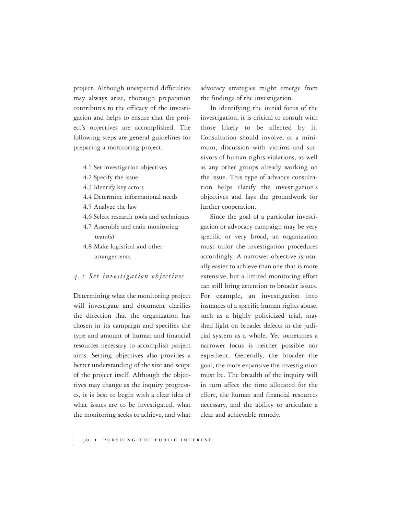project. Although unexpected difficulties may always arise, thorough preparation contributes to the efficacy of the investigation and helps to ensure that the project's objectives are accomplished. The following steps are general guidelines for preparing a monitoring project:

- 4.1 Set investigation objectives
- 4.2 Specify the issue
- 4.3 Identify key actors
- 4.4 Determine informational needs
- 4.5 Analyze the law
- 4.6 Select research tools and techniques
- 4.7 Assemble and train monitoring team(s)
- 4.8 Make logistical and other arrangements

#### *4.1 Set investigation objectives*

Determining what the monitoring project will investigate and document clarifies the direction that the organization has chosen in its campaign and specifies the type and amount of human and financial resources necessary to accomplish project aims. Setting objectives also provides a better understanding of the size and scope of the project itself. Although the objectives may change as the inquiry progresses, it is best to begin with a clear idea of what issues are to be investigated, what the monitoring seeks to achieve, and what

advocacy strategies might emerge from the findings of the investigation.

In identifying the initial focus of the investigation, it is critical to consult with those likely to be affected by it. Consultation should involve, at a minimum, discussion with victims and survivors of human rights violations, as well as any other groups already working on the issue. This type of advance consultation helps clarify the investigation's objectives and lays the groundwork for further cooperation.

Since the goal of a particular investigation or advocacy campaign may be very specific or very broad, an organization must tailor the investigation procedures accordingly. A narrower objective is usually easier to achieve than one that is more extensive, but a limited monitoring effort can still bring attention to broader issues. For example, an investigation into instances of a specific human rights abuse, such as a highly politicized trial, may shed light on broader defects in the judicial system as a whole. Yet sometimes a narrower focus is neither possible nor expedient. Generally, the broader the goal, the more expansive the investigation must be. The breadth of the inquiry will in turn affect the time allocated for the effort, the human and financial resources necessary, and the ability to articulate a clear and achievable remedy.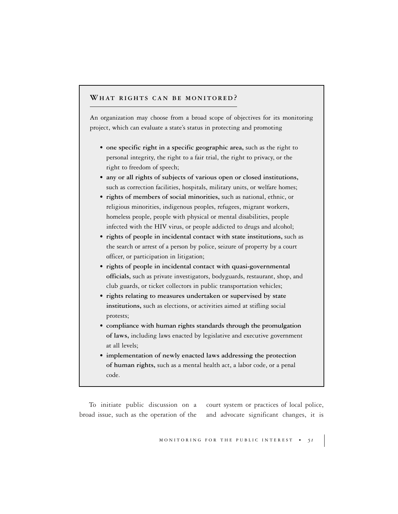#### **WHAT RIGHTS CAN BE MONITORED ?**

An organization may choose from a broad scope of objectives for its monitoring project, which can evaluate a state's status in protecting and promoting

- **one specific right in a specific geographic area,** such as the right to personal integrity, the right to a fair trial, the right to privacy, or the right to freedom of speech;
- **any or all rights of subjects of various open or closed institutions,** such as correction facilities, hospitals, military units, or welfare homes;
- **rights of members of social minorities,** such as national, ethnic, or religious minorities, indigenous peoples, refugees, migrant workers, homeless people, people with physical or mental disabilities, people infected with the HIV virus, or people addicted to drugs and alcohol;
- **rights of people in incidental contact with state institutions,** such as the search or arrest of a person by police, seizure of property by a court officer, or participation in litigation;
- **rights of people in incidental contact with quasi-governmental officials,** such as private investigators, bodyguards, restaurant, shop, and club guards, or ticket collectors in public transportation vehicles;
- **rights relating to measures undertaken or supervised by state institutions,** such as elections, or activities aimed at stifling social protests;
- **compliance with human rights standards through the promulgation of laws,** including laws enacted by legislative and executive government at all levels;
- **implementation of newly enacted laws addressing the protection of human rights,** such as a mental health act, a labor code, or a penal code.

To initiate public discussion on a court system or practices of local police, broad issue, such as the operation of the and advocate significant changes, it is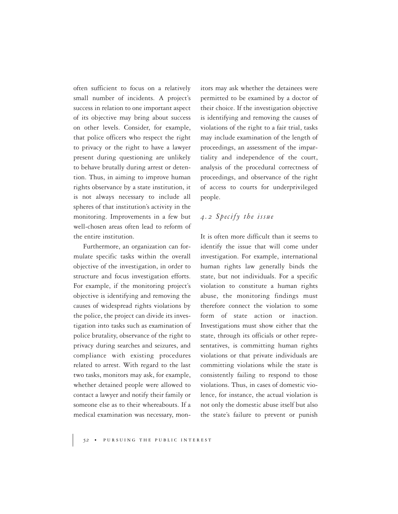often sufficient to focus on a relatively small number of incidents. A project's success in relation to one important aspect of its objective may bring about success on other levels. Consider, for example, that police officers who respect the right to privacy or the right to have a lawyer present during questioning are unlikely to behave brutally during arrest or detention. Thus, in aiming to improve human rights observance by a state institution, it is not always necessary to include all spheres of that institution's activity in the monitoring. Improvements in a few but well-chosen areas often lead to reform of the entire institution.

Furthermore, an organization can formulate specific tasks within the overall objective of the investigation, in order to structure and focus investigation efforts. For example, if the monitoring project's objective is identifying and removing the causes of widespread rights violations by the police, the project can divide its investigation into tasks such as examination of police brutality, observance of the right to privacy during searches and seizures, and compliance with existing procedures related to arrest. With regard to the last two tasks, monitors may ask, for example, whether detained people were allowed to contact a lawyer and notify their family or someone else as to their whereabouts. If a medical examination was necessary, monitors may ask whether the detainees were permitted to be examined by a doctor of their choice. If the investigation objective is identifying and removing the causes of violations of the right to a fair trial, tasks may include examination of the length of proceedings, an assessment of the impartiality and independence of the court, analysis of the procedural correctness of proceedings, and observance of the right of access to courts for underprivileged people.

#### *4.2 Specify the issue*

It is often more difficult than it seems to identify the issue that will come under investigation. For example, international human rights law generally binds the state, but not individuals. For a specific violation to constitute a human rights abuse, the monitoring findings must therefore connect the violation to some form of state action or inaction. Investigations must show either that the state, through its officials or other representatives, is committing human rights violations or that private individuals are committing violations while the state is consistently failing to respond to those violations. Thus, in cases of domestic violence, for instance, the actual violation is not only the domestic abuse itself but also the state's failure to prevent or punish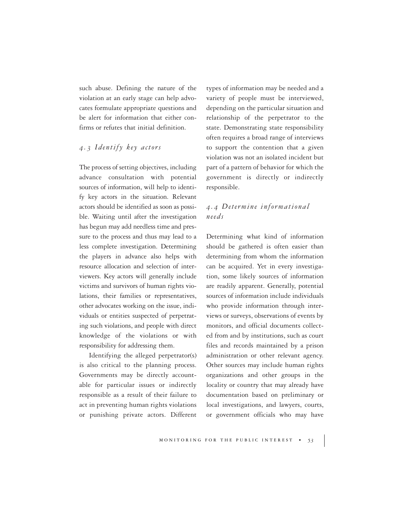such abuse. Defining the nature of the violation at an early stage can help advocates formulate appropriate questions and be alert for information that either confirms or refutes that initial definition.

#### *4.3 Identify key actors*

The process of setting objectives, including advance consultation with potential sources of information, will help to identify key actors in the situation. Relevant actors should be identified as soon as possible. Waiting until after the investigation has begun may add needless time and pressure to the process and thus may lead to a less complete investigation. Determining the players in advance also helps with resource allocation and selection of interviewers. Key actors will generally include victims and survivors of human rights violations, their families or representatives, other advocates working on the issue, individuals or entities suspected of perpetrating such violations, and people with direct knowledge of the violations or with responsibility for addressing them.

Identifying the alleged perpetrator(s) is also critical to the planning process. Governments may be directly accountable for particular issues or indirectly responsible as a result of their failure to act in preventing human rights violations or punishing private actors. Different

types of information may be needed and a variety of people must be interviewed, depending on the particular situation and relationship of the perpetrator to the state. Demonstrating state responsibility often requires a broad range of interviews to support the contention that a given violation was not an isolated incident but part of a pattern of behavior for which the government is directly or indirectly responsible.

## *4.4 Determine informational needs*

Determining what kind of information should be gathered is often easier than determining from whom the information can be acquired. Yet in every investigation, some likely sources of information are readily apparent. Generally, potential sources of information include individuals who provide information through interviews or surveys, observations of events by monitors, and official documents collected from and by institutions, such as court files and records maintained by a prison administration or other relevant agency. Other sources may include human rights organizations and other groups in the locality or country that may already have documentation based on preliminary or local investigations, and lawyers, courts, or government officials who may have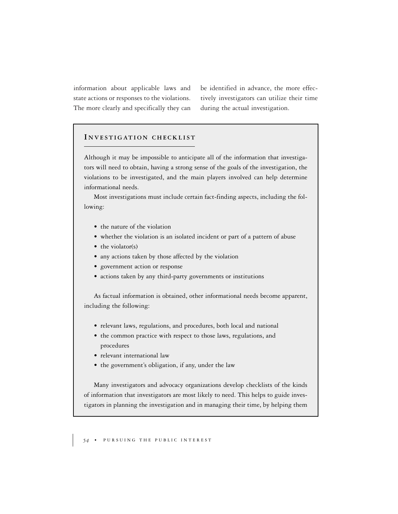information about applicable laws and state actions or responses to the violations. The more clearly and specifically they can be identified in advance, the more effectively investigators can utilize their time during the actual investigation.

#### **I NVESTIGATION CHECKLIST**

Although it may be impossible to anticipate all of the information that investigators will need to obtain, having a strong sense of the goals of the investigation, the violations to be investigated, and the main players involved can help determine informational needs.

Most investigations must include certain fact-finding aspects, including the following:

- the nature of the violation
- whether the violation is an isolated incident or part of a pattern of abuse
- the violator(s)
- any actions taken by those affected by the violation
- government action or response
- actions taken by any third-party governments or institutions

As factual information is obtained, other informational needs become apparent, including the following:

- relevant laws, regulations, and procedures, both local and national
- the common practice with respect to those laws, regulations, and procedures
- relevant international law
- the government's obligation, if any, under the law

Many investigators and advocacy organizations develop checklists of the kinds of information that investigators are most likely to need. This helps to guide investigators in planning the investigation and in managing their time, by helping them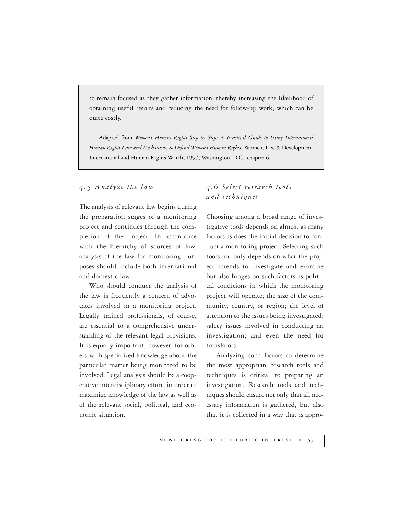to remain focused as they gather information, thereby increasing the likelihood of obtaining useful results and reducing the need for follow-up work, which can be quite costly.

Adapted from *Women's Human Rights Step by Step: A Practical Guide to Using International Human Rights Law and Mechanisms to Defend Women's Human Rights*, Women, Law & Development International and Human Rights Watch, 1997, Washington, D.C., chapter 6.

*4.5 Analyze the law*

The analysis of relevant law begins during the preparation stages of a monitoring project and continues through the completion of the project. In accordance with the hierarchy of sources of law, analysis of the law for monitoring purposes should include both international and domestic law.

Who should conduct the analysis of the law is frequently a concern of advocates involved in a monitoring project. Legally trained professionals, of course, are essential to a comprehensive understanding of the relevant legal provisions. It is equally important, however, for others with specialized knowledge about the particular matter being monitored to be involved. Legal analysis should be a cooperative interdisciplinary effort, in order to maximize knowledge of the law as well as of the relevant social, political, and economic situation.

## *4.6 Select research tools and techniques*

Choosing among a broad range of investigative tools depends on almost as many factors as does the initial decision to conduct a monitoring project. Selecting such tools not only depends on what the project intends to investigate and examine but also hinges on such factors as political conditions in which the monitoring project will operate; the size of the community, country, or region; the level of attention to the issues being investigated; safety issues involved in conducting an investigation; and even the need for translators.

Analyzing such factors to determine the most appropriate research tools and techniques is critical to preparing an investigation. Research tools and techniques should ensure not only that all necessary information is gathered, but also that it is collected in a way that is appro-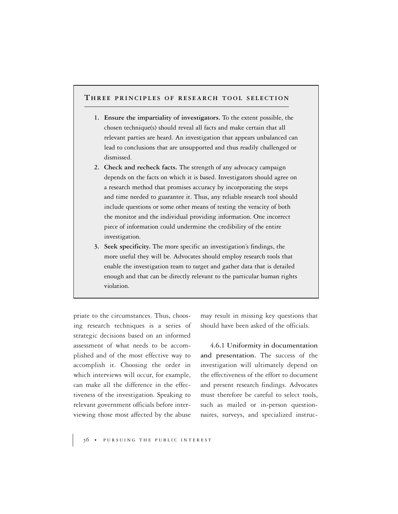#### **T HREE PRINCIPLES OF RESEARCH TOOL SELECTION**

- **1. Ensure the impartiality of investigators.** To the extent possible, the chosen technique(s) should reveal all facts and make certain that all relevant parties are heard. An investigation that appears unbalanced can lead to conclusions that are unsupported and thus readily challenged or dismissed.
- **2. Check and recheck facts.** The strength of any advocacy campaign depends on the facts on which it is based. Investigators should agree on a research method that promises accuracy by incorporating the steps and time needed to guarantee it. Thus, any reliable research tool should include questions or some other means of testing the veracity of both the monitor and the individual providing information. One incorrect piece of information could undermine the credibility of the entire investigation.
- **3. Seek specificity.** The more specific an investigation's findings, the more useful they will be. Advocates should employ research tools that enable the investigation team to target and gather data that is detailed enough and that can be directly relevant to the particular human rights violation.

priate to the circumstances. Thus, choosing research techniques is a series of strategic decisions based on an informed assessment of what needs to be accomplished and of the most effective way to accomplish it. Choosing the order in which interviews will occur, for example, can make all the difference in the effectiveness of the investigation. Speaking to relevant government officials before interviewing those most affected by the abuse

may result in missing key questions that should have been asked of the officials.

**4.6.1 Uniformity in documentation and presentation.** The success of the investigation will ultimately depend on the effectiveness of the effort to document and present research findings. Advocates must therefore be careful to select tools, such as mailed or in-person questionnaires, surveys, and specialized instruc-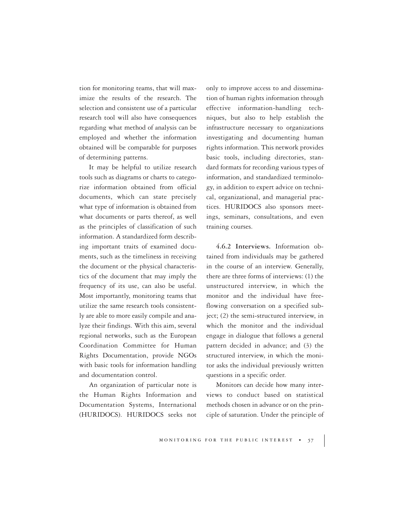tion for monitoring teams, that will maximize the results of the research. The selection and consistent use of a particular research tool will also have consequences regarding what method of analysis can be employed and whether the information obtained will be comparable for purposes of determining patterns.

It may be helpful to utilize research tools such as diagrams or charts to categorize information obtained from official documents, which can state precisely what type of information is obtained from what documents or parts thereof, as well as the principles of classification of such information. A standardized form describing important traits of examined documents, such as the timeliness in receiving the document or the physical characteristics of the document that may imply the frequency of its use, can also be useful. Most importantly, monitoring teams that utilize the same research tools consistently are able to more easily compile and analyze their findings. With this aim, several regional networks, such as the European Coordination Committee for Human Rights Documentation, provide NGOs with basic tools for information handling and documentation control.

An organization of particular note is the Human Rights Information and Documentation Systems, International (HURIDOCS). HURIDOCS seeks not only to improve access to and dissemination of human rights information through effective information-handling techniques, but also to help establish the infrastructure necessary to organizations investigating and documenting human rights information. This network provides basic tools, including directories, standard formats for recording various types of information, and standardized terminology, in addition to expert advice on technical, organizational, and managerial practices. HURIDOCS also sponsors meetings, seminars, consultations, and even training courses.

**4.6.2 Interviews.** Information obtained from individuals may be gathered in the course of an interview. Generally, there are three forms of interviews: (1) the unstructured interview, in which the monitor and the individual have freeflowing conversation on a specified subject; (2) the semi-structured interview, in which the monitor and the individual engage in dialogue that follows a general pattern decided in advance; and (3) the structured interview, in which the monitor asks the individual previously written questions in a specific order.

Monitors can decide how many interviews to conduct based on statistical methods chosen in advance or on the principle of saturation. Under the principle of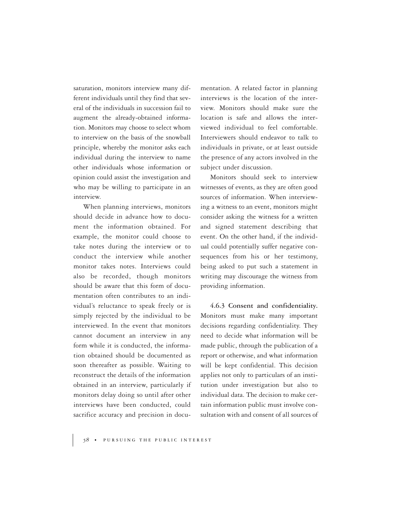saturation, monitors interview many different individuals until they find that several of the individuals in succession fail to augment the already-obtained information. Monitors may choose to select whom to interview on the basis of the snowball principle, whereby the monitor asks each individual during the interview to name other individuals whose information or opinion could assist the investigation and who may be willing to participate in an interview.

When planning interviews, monitors should decide in advance how to document the information obtained. For example, the monitor could choose to take notes during the interview or to conduct the interview while another monitor takes notes. Interviews could also be recorded, though monitors should be aware that this form of documentation often contributes to an individual's reluctance to speak freely or is simply rejected by the individual to be interviewed. In the event that monitors cannot document an interview in any form while it is conducted, the information obtained should be documented as soon thereafter as possible. Waiting to reconstruct the details of the information obtained in an interview, particularly if monitors delay doing so until after other interviews have been conducted, could sacrifice accuracy and precision in documentation. A related factor in planning interviews is the location of the interview. Monitors should make sure the location is safe and allows the interviewed individual to feel comfortable. Interviewers should endeavor to talk to individuals in private, or at least outside the presence of any actors involved in the subject under discussion.

Monitors should seek to interview witnesses of events, as they are often good sources of information. When interviewing a witness to an event, monitors might consider asking the witness for a written and signed statement describing that event. On the other hand, if the individual could potentially suffer negative consequences from his or her testimony, being asked to put such a statement in writing may discourage the witness from providing information.

**4.6.3 Consent and confidentiality.** Monitors must make many important decisions regarding confidentiality. They need to decide what information will be made public, through the publication of a report or otherwise, and what information will be kept confidential. This decision applies not only to particulars of an institution under investigation but also to individual data. The decision to make certain information public must involve consultation with and consent of all sources of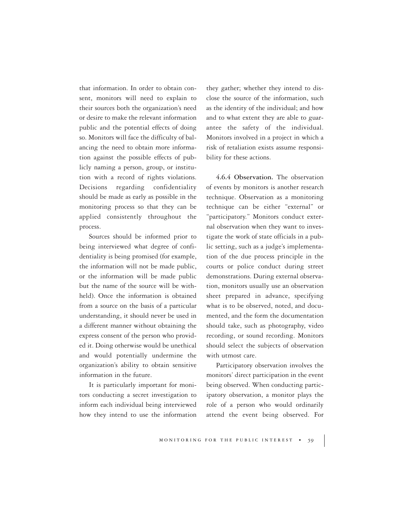that information. In order to obtain consent, monitors will need to explain to their sources both the organization's need or desire to make the relevant information public and the potential effects of doing so. Monitors will face the difficulty of balancing the need to obtain more information against the possible effects of publicly naming a person, group, or institution with a record of rights violations. Decisions regarding confidentiality should be made as early as possible in the monitoring process so that they can be applied consistently throughout the process.

Sources should be informed prior to being interviewed what degree of confidentiality is being promised (for example, the information will not be made public, or the information will be made public but the name of the source will be withheld). Once the information is obtained from a source on the basis of a particular understanding, it should never be used in a different manner without obtaining the express consent of the person who provided it. Doing otherwise would be unethical and would potentially undermine the organization's ability to obtain sensitive information in the future.

It is particularly important for monitors conducting a secret investigation to inform each individual being interviewed how they intend to use the information

they gather; whether they intend to disclose the source of the information, such as the identity of the individual; and how and to what extent they are able to guarantee the safety of the individual. Monitors involved in a project in which a risk of retaliation exists assume responsibility for these actions.

**4.6.4 Observation.** The observation of events by monitors is another research technique. Observation as a monitoring technique can be either "external" or "participatory." Monitors conduct external observation when they want to investigate the work of state officials in a public setting, such as a judge's implementation of the due process principle in the courts or police conduct during street demonstrations. During external observation, monitors usually use an observation sheet prepared in advance, specifying what is to be observed, noted, and documented, and the form the documentation should take, such as photography, video recording, or sound recording. Monitors should select the subjects of observation with utmost care.

Participatory observation involves the monitors' direct participation in the event being observed. When conducting participatory observation, a monitor plays the role of a person who would ordinarily attend the event being observed. For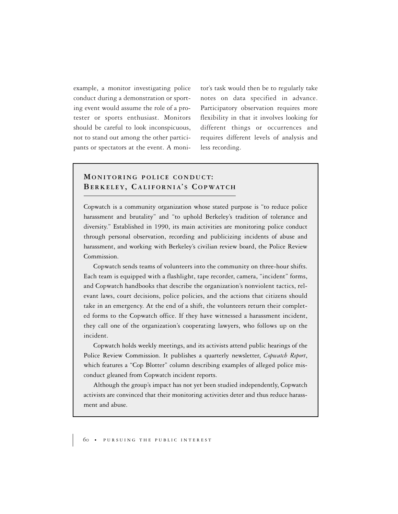example, a monitor investigating police conduct during a demonstration or sporting event would assume the role of a protester or sports enthusiast. Monitors should be careful to look inconspicuous, not to stand out among the other participants or spectators at the event. A monitor's task would then be to regularly take notes on data specified in advance. Participatory observation requires more flexibility in that it involves looking for different things or occurrences and requires different levels of analysis and less recording.

### **MONITORING POLICE CONDUCT: BERKELEY, C ALIFORNIA' S C OPWATCH**

Copwatch is a community organization whose stated purpose is "to reduce police harassment and brutality" and "to uphold Berkeley's tradition of tolerance and diversity." Established in 1990, its main activities are monitoring police conduct through personal observation, recording and publicizing incidents of abuse and harassment, and working with Berkeley's civilian review board, the Police Review Commission.

Copwatch sends teams of volunteers into the community on three-hour shifts. Each team is equipped with a flashlight, tape recorder, camera, "incident" forms, and Copwatch handbooks that describe the organization's nonviolent tactics, relevant laws, court decisions, police policies, and the actions that citizens should take in an emergency. At the end of a shift, the volunteers return their completed forms to the Copwatch office. If they have witnessed a harassment incident, they call one of the organization's cooperating lawyers, who follows up on the incident.

Copwatch holds weekly meetings, and its activists attend public hearings of the Police Review Commission. It publishes a quarterly newsletter, *Copwatch Report*, which features a "Cop Blotter" column describing examples of alleged police misconduct gleaned from Copwatch incident reports.

Although the group's impact has not yet been studied independently, Copwatch activists are convinced that their monitoring activities deter and thus reduce harassment and abuse.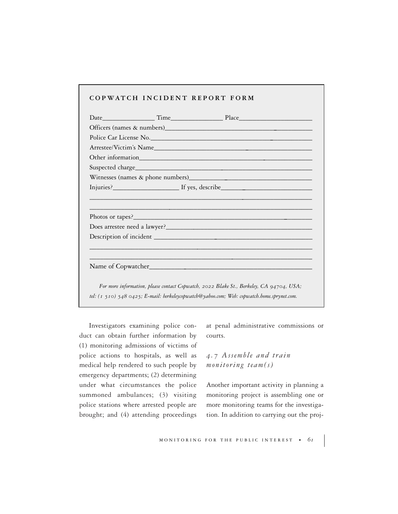#### **COPWATCH INCIDENT REPORT FORM**

| For more information, please contact Copwatch, 2022 Blake St., Berkeley, CA 94704, USA;    |  |  |
|--------------------------------------------------------------------------------------------|--|--|
| tel: (1 510) 548 0425; E-mail: berkeleycopwatch@yahoo.com; Web: copwatch.home.sprynet.com. |  |  |

Investigators examining police conduct can obtain further information by (1) monitoring admissions of victims of police actions to hospitals, as well as medical help rendered to such people by emergency departments; (2) determining under what circumstances the police summoned ambulances; (3) visiting police stations where arrested people are brought; and (4) attending proceedings at penal administrative commissions or courts.

## *4.7 Assemble and train monitoring team(s)*

Another important activity in planning a monitoring project is assembling one or more monitoring teams for the investigation. In addition to carrying out the proj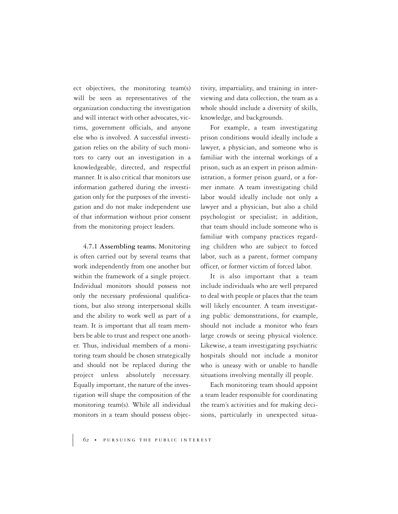ect objectives, the monitoring team(s) will be seen as representatives of the organization conducting the investigation and will interact with other advocates, victims, government officials, and anyone else who is involved. A successful investigation relies on the ability of such monitors to carry out an investigation in a knowledgeable, directed, and respectful manner. It is also critical that monitors use information gathered during the investigation only for the purposes of the investigation and do not make independent use of that information without prior consent from the monitoring project leaders.

**4.7.1 Assembling teams.** Monitoring is often carried out by several teams that work independently from one another but within the framework of a single project. Individual monitors should possess not only the necessary professional qualifications, but also strong interpersonal skills and the ability to work well as part of a team. It is important that all team members be able to trust and respect one another. Thus, individual members of a monitoring team should be chosen strategically and should not be replaced during the project unless absolutely necessary. Equally important, the nature of the investigation will shape the composition of the monitoring team(s). While all individual monitors in a team should possess objectivity, impartiality, and training in interviewing and data collection, the team as a whole should include a diversity of skills, knowledge, and backgrounds.

For example, a team investigating prison conditions would ideally include a lawyer, a physician, and someone who is familiar with the internal workings of a prison, such as an expert in prison administration, a former prison guard, or a former inmate. A team investigating child labor would ideally include not only a lawyer and a physician, but also a child psychologist or specialist; in addition, that team should include someone who is familiar with company practices regarding children who are subject to forced labor, such as a parent, former company officer, or former victim of forced labor.

It is also important that a team include individuals who are well prepared to deal with people or places that the team will likely encounter. A team investigating public demonstrations, for example, should not include a monitor who fears large crowds or seeing physical violence. Likewise, a team investigating psychiatric hospitals should not include a monitor who is uneasy with or unable to handle situations involving mentally ill people.

Each monitoring team should appoint a team leader responsible for coordinating the team's activities and for making decisions, particularly in unexpected situa-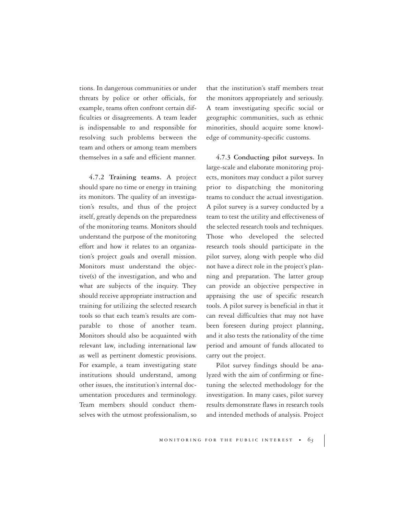tions. In dangerous communities or under threats by police or other officials, for example, teams often confront certain difficulties or disagreements. A team leader is indispensable to and responsible for resolving such problems between the team and others or among team members themselves in a safe and efficient manner.

**4.7.2 Training teams.** A project should spare no time or energy in training its monitors. The quality of an investigation's results, and thus of the project itself, greatly depends on the preparedness of the monitoring teams. Monitors should understand the purpose of the monitoring effort and how it relates to an organization's project goals and overall mission. Monitors must understand the objective(s) of the investigation, and who and what are subjects of the inquiry. They should receive appropriate instruction and training for utilizing the selected research tools so that each team's results are comparable to those of another team. Monitors should also be acquainted with relevant law, including international law as well as pertinent domestic provisions. For example, a team investigating state institutions should understand, among other issues, the institution's internal documentation procedures and terminology. Team members should conduct themselves with the utmost professionalism, so that the institution's staff members treat the monitors appropriately and seriously. A team investigating specific social or geographic communities, such as ethnic minorities, should acquire some knowledge of community-specific customs.

**4.7.3 Conducting pilot surveys.** In large-scale and elaborate monitoring projects, monitors may conduct a pilot survey prior to dispatching the monitoring teams to conduct the actual investigation. A pilot survey is a survey conducted by a team to test the utility and effectiveness of the selected research tools and techniques. Those who developed the selected research tools should participate in the pilot survey, along with people who did not have a direct role in the project's planning and preparation. The latter group can provide an objective perspective in appraising the use of specific research tools. A pilot survey is beneficial in that it can reveal difficulties that may not have been foreseen during project planning, and it also tests the rationality of the time period and amount of funds allocated to carry out the project.

Pilot survey findings should be analyzed with the aim of confirming or finetuning the selected methodology for the investigation. In many cases, pilot survey results demonstrate flaws in research tools and intended methods of analysis. Project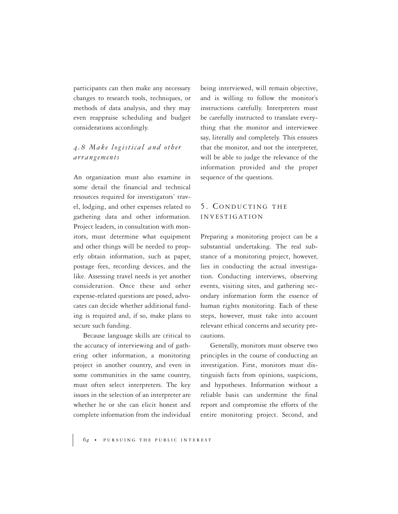participants can then make any necessary changes to research tools, techniques, or methods of data analysis, and they may even reappraise scheduling and budget considerations accordingly.

## *4.8 Make logistical and other arrangements*

An organization must also examine in some detail the financial and technical resources required for investigators' travel, lodging, and other expenses related to gathering data and other information. Project leaders, in consultation with monitors, must determine what equipment and other things will be needed to properly obtain information, such as paper, postage fees, recording devices, and the like. Assessing travel needs is yet another consideration. Once these and other expense-related questions are posed, advocates can decide whether additional funding is required and, if so, make plans to secure such funding.

Because language skills are critical to the accuracy of interviewing and of gathering other information, a monitoring project in another country, and even in some communities in the same country, must often select interpreters. The key issues in the selection of an interpreter are whether he or she can elicit honest and complete information from the individual being interviewed, will remain objective, and is willing to follow the monitor's instructions carefully. Interpreters must be carefully instructed to translate everything that the monitor and interviewee say, literally and completely. This ensures that the monitor, and not the interpreter, will be able to judge the relevance of the information provided and the proper sequence of the questions.

## 5. CONDUCTING THE INVESTIGATION

Preparing a monitoring project can be a substantial undertaking. The real substance of a monitoring project, however, lies in conducting the actual investigation. Conducting interviews, observing events, visiting sites, and gathering secondary information form the essence of human rights monitoring. Each of these steps, however, must take into account relevant ethical concerns and security precautions.

Generally, monitors must observe two principles in the course of conducting an investigation. First, monitors must distinguish facts from opinions, suspicions, and hypotheses. Information without a reliable basis can undermine the final report and compromise the efforts of the entire monitoring project. Second, and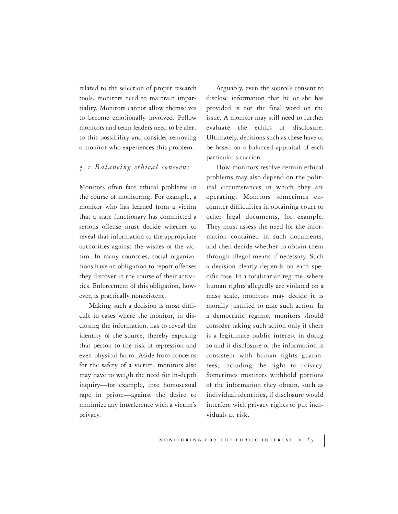related to the selection of proper research tools, monitors need to maintain impartiality. Monitors cannot allow themselves to become emotionally involved. Fellow monitors and team leaders need to be alert to this possibility and consider removing a monitor who experiences this problem.

#### *5.1 Balancing ethical concerns*

Monitors often face ethical problems in the course of monitoring. For example, a monitor who has learned from a victim that a state functionary has committed a serious offense must decide whether to reveal that information to the appropriate authorities against the wishes of the victim. In many countries, social organizations have an obligation to report offenses they discover in the course of their activities. Enforcement of this obligation, however, is practically nonexistent.

Making such a decision is most difficult in cases where the monitor, in disclosing the information, has to reveal the identity of the source, thereby exposing that person to the risk of repression and even physical harm. Aside from concerns for the safety of a victim, monitors also may have to weigh the need for in-depth inquiry—for example, into homosexual rape in prison—against the desire to minimize any interference with a victim's privacy.

Arguably, even the source's consent to disclose information that he or she has provided is not the final word on the issue. A monitor may still need to further evaluate the ethics of disclosure. Ultimately, decisions such as these have to be based on a balanced appraisal of each particular situation.

How monitors resolve certain ethical problems may also depend on the political circumstances in which they are operating. Monitors sometimes encounter difficulties in obtaining court or other legal documents, for example. They must assess the need for the information contained in such documents, and then decide whether to obtain them through illegal means if necessary. Such a decision clearly depends on each specific case. In a totalitarian regime, where human rights allegedly are violated on a mass scale, monitors may decide it is morally justified to take such action. In a democratic regime, monitors should consider taking such action only if there is a legitimate public interest in doing so and if disclosure of the information is consistent with human rights guarantees, including the right to privacy. Sometimes monitors withhold portions of the information they obtain, such as individual identities, if disclosure would interfere with privacy rights or put individuals at risk.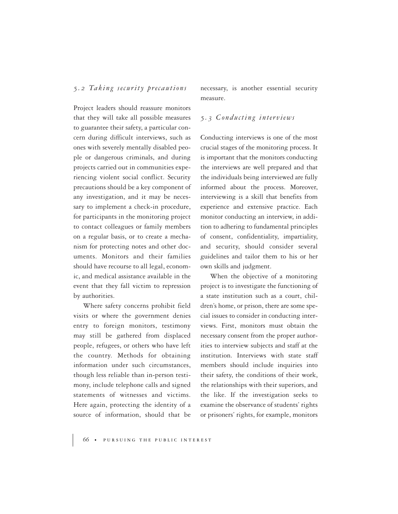#### *5.2 Taking security precautions*

Project leaders should reassure monitors that they will take all possible measures to guarantee their safety, a particular concern during difficult interviews, such as ones with severely mentally disabled people or dangerous criminals, and during projects carried out in communities experiencing violent social conflict. Security precautions should be a key component of any investigation, and it may be necessary to implement a check-in procedure, for participants in the monitoring project to contact colleagues or family members on a regular basis, or to create a mechanism for protecting notes and other documents. Monitors and their families should have recourse to all legal, economic, and medical assistance available in the event that they fall victim to repression by authorities.

Where safety concerns prohibit field visits or where the government denies entry to foreign monitors, testimony may still be gathered from displaced people, refugees, or others who have left the country. Methods for obtaining information under such circumstances, though less reliable than in-person testimony, include telephone calls and signed statements of witnesses and victims. Here again, protecting the identity of a source of information, should that be necessary, is another essential security measure.

#### *5.3 Conducting interviews*

Conducting interviews is one of the most crucial stages of the monitoring process. It is important that the monitors conducting the interviews are well prepared and that the individuals being interviewed are fully informed about the process. Moreover, interviewing is a skill that benefits from experience and extensive practice. Each monitor conducting an interview, in addition to adhering to fundamental principles of consent, confidentiality, impartiality, and security, should consider several guidelines and tailor them to his or her own skills and judgment.

When the objective of a monitoring project is to investigate the functioning of a state institution such as a court, children's home, or prison, there are some special issues to consider in conducting interviews. First, monitors must obtain the necessary consent from the proper authorities to interview subjects and staff at the institution. Interviews with state staff members should include inquiries into their safety, the conditions of their work, the relationships with their superiors, and the like. If the investigation seeks to examine the observance of students' rights or prisoners' rights, for example, monitors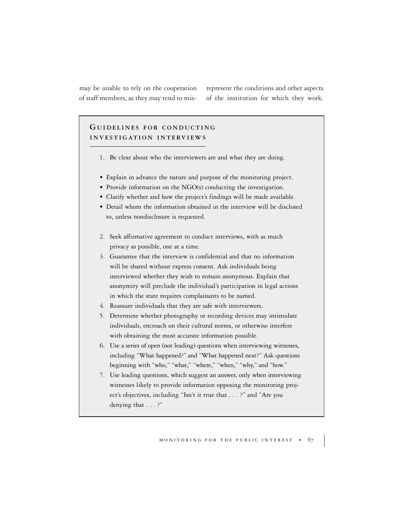may be unable to rely on the cooperation of staff members, as they may tend to mis-

represent the conditions and other aspects of the institution for which they work.

## **G UIDELINES FOR CONDUCTING INVESTIGATION INTERVIEWS**

- 1. Be clear about who the interviewers are and what they are doing.
- Explain in advance the nature and purpose of the monitoring project.
- Provide information on the NGO(s) conducting the investigation.
- Clarify whether and how the project's findings will be made available.
- Detail whom the information obtained in the interview will be disclosed to, unless nondisclosure is requested.
- 2. Seek affirmative agreement to conduct interviews, with as much privacy as possible, one at a time.
- 3. Guarantee that the interview is confidential and that no information will be shared without express consent. Ask individuals being interviewed whether they wish to remain anonymous. Explain that anonymity will preclude the individual's participation in legal actions in which the state requires complainants to be named.
- 4. Reassure individuals that they are safe with interviewers.
- 5. Determine whether photography or recording devices may intimidate individuals, encroach on their cultural norms, or otherwise interfere with obtaining the most accurate information possible.
- 6. Use a series of open (not leading) questions when interviewing witnesses, including "What happened?" and "What happened next?" Ask questions beginning with "who," "what," "where," "when," "why," and "how."
- 7. Use leading questions, which suggest an answer, only when interviewing witnesses likely to provide information opposing the monitoring project's objectives, including "Isn't it true that . . . ?" and "Are you denying that . . . ?"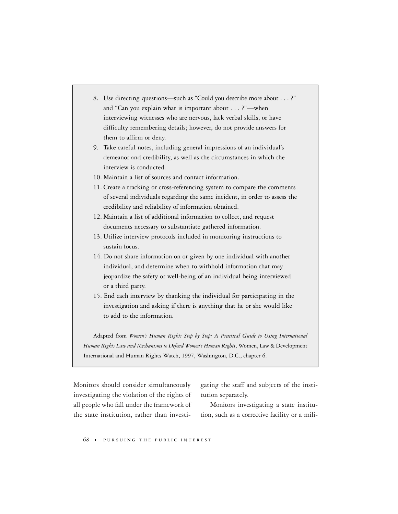- 8. Use directing questions—such as "Could you describe more about . . . ?" and "Can you explain what is important about . . . ?"—when interviewing witnesses who are nervous, lack verbal skills, or have difficulty remembering details; however, do not provide answers for them to affirm or deny.
- 9. Take careful notes, including general impressions of an individual's demeanor and credibility, as well as the circumstances in which the interview is conducted.
- 10. Maintain a list of sources and contact information.
- 11. Create a tracking or cross-referencing system to compare the comments of several individuals regarding the same incident, in order to assess the credibility and reliability of information obtained.
- 12. Maintain a list of additional information to collect, and request documents necessary to substantiate gathered information.
- 13. Utilize interview protocols included in monitoring instructions to sustain focus.
- 14. Do not share information on or given by one individual with another individual, and determine when to withhold information that may jeopardize the safety or well-being of an individual being interviewed or a third party.
- 15. End each interview by thanking the individual for participating in the investigation and asking if there is anything that he or she would like to add to the information.

Adapted from *Women's Human Rights Step by Step: A Practical Guide to Using International Human Rights Law and Mechanisms to Defend Women's Human Rights*, Women, Law & Development International and Human Rights Watch, 1997, Washington, D.C., chapter 6.

Monitors should consider simultaneously investigating the violation of the rights of all people who fall under the framework of the state institution, rather than investigating the staff and subjects of the institution separately.

Monitors investigating a state institution, such as a corrective facility or a mili-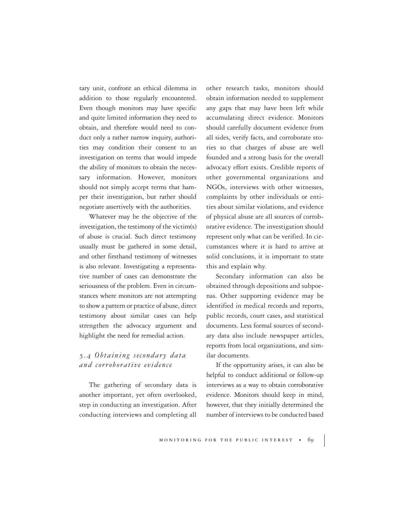tary unit, confront an ethical dilemma in addition to those regularly encountered. Even though monitors may have specific and quite limited information they need to obtain, and therefore would need to conduct only a rather narrow inquiry, authorities may condition their consent to an investigation on terms that would impede the ability of monitors to obtain the necessary information. However, monitors should not simply accept terms that hamper their investigation, but rather should negotiate assertively with the authorities.

Whatever may be the objective of the investigation, the testimony of the victim(s) of abuse is crucial. Such direct testimony usually must be gathered in some detail, and other firsthand testimony of witnesses is also relevant. Investigating a representative number of cases can demonstrate the seriousness of the problem. Even in circumstances where monitors are not attempting to show a pattern or practice of abuse, direct testimony about similar cases can help strengthen the advocacy argument and highlight the need for remedial action.

## *5.4 Obtaining secondary data and corroborative evidence*

The gathering of secondary data is another important, yet often overlooked, step in conducting an investigation. After conducting interviews and completing all

other research tasks, monitors should obtain information needed to supplement any gaps that may have been left while accumulating direct evidence. Monitors should carefully document evidence from all sides, verify facts, and corroborate stories so that charges of abuse are well founded and a strong basis for the overall advocacy effort exists. Credible reports of other governmental organizations and NGOs, interviews with other witnesses, complaints by other individuals or entities about similar violations, and evidence of physical abuse are all sources of corroborative evidence. The investigation should represent only what can be verified. In circumstances where it is hard to arrive at solid conclusions, it is important to state this and explain why.

Secondary information can also be obtained through depositions and subpoenas. Other supporting evidence may be identified in medical records and reports, public records, court cases, and statistical documents. Less formal sources of secondary data also include newspaper articles, reports from local organizations, and similar documents.

If the opportunity arises, it can also be helpful to conduct additional or follow-up interviews as a way to obtain corroborative evidence. Monitors should keep in mind, however, that they initially determined the number of interviews to be conducted based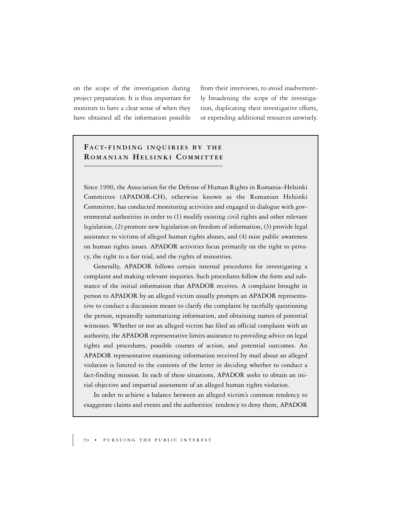on the scope of the investigation during project preparation. It is thus important for monitors to have a clear sense of when they have obtained all the information possible from their interviews, to avoid inadvertently broadening the scope of the investigation, duplicating their investigative efforts, or expending additional resources unwisely.

## **FACT- FINDING INQUIRIES BY THE R OMANIAN HELSINKI C OMMITTEE**

Since 1990, the Association for the Defense of Human Rights in Romania–Helsinki Committee (APADOR-CH), otherwise known as the Romanian Helsinki Committee, has conducted monitoring activities and engaged in dialogue with governmental authorities in order to (1) modify existing civil rights and other relevant legislation, (2) promote new legislation on freedom of information, (3) provide legal assistance to victims of alleged human rights abuses, and (4) raise public awareness on human rights issues. APADOR activities focus primarily on the right to privacy, the right to a fair trial, and the rights of minorities.

Generally, APADOR follows certain internal procedures for investigating a complaint and making relevant inquiries. Such procedures follow the form and substance of the initial information that APADOR receives. A complaint brought in person to APADOR by an alleged victim usually prompts an APADOR representative to conduct a discussion meant to clarify the complaint by tactfully questioning the person, repeatedly summarizing information, and obtaining names of potential witnesses. Whether or not an alleged victim has filed an official complaint with an authority, the APADOR representative limits assistance to providing advice on legal rights and procedures, possible courses of action, and potential outcomes. An APADOR representative examining information received by mail about an alleged violation is limited to the contents of the letter in deciding whether to conduct a fact-finding mission. In each of these situations, APADOR seeks to obtain an initial objective and impartial assessment of an alleged human rights violation.

In order to achieve a balance between an alleged victim's common tendency to exaggerate claims and events and the authorities' tendency to deny them, APADOR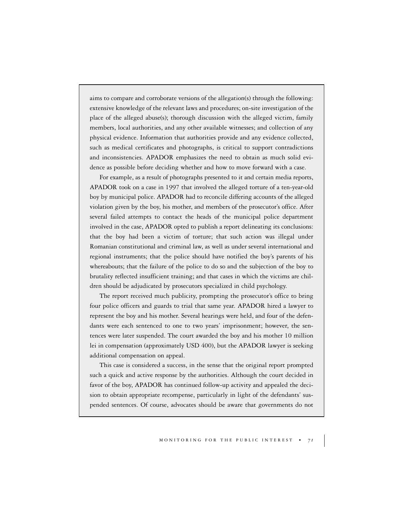aims to compare and corroborate versions of the allegation(s) through the following: extensive knowledge of the relevant laws and procedures; on-site investigation of the place of the alleged abuse(s); thorough discussion with the alleged victim, family members, local authorities, and any other available witnesses; and collection of any physical evidence. Information that authorities provide and any evidence collected, such as medical certificates and photographs, is critical to support contradictions and inconsistencies. APADOR emphasizes the need to obtain as much solid evidence as possible before deciding whether and how to move forward with a case.

For example, as a result of photographs presented to it and certain media reports, APADOR took on a case in 1997 that involved the alleged torture of a ten-year-old boy by municipal police. APADOR had to reconcile differing accounts of the alleged violation given by the boy, his mother, and members of the prosecutor's office. After several failed attempts to contact the heads of the municipal police department involved in the case, APADOR opted to publish a report delineating its conclusions: that the boy had been a victim of torture; that such action was illegal under Romanian constitutional and criminal law, as well as under several international and regional instruments; that the police should have notified the boy's parents of his whereabouts; that the failure of the police to do so and the subjection of the boy to brutality reflected insufficient training; and that cases in which the victims are children should be adjudicated by prosecutors specialized in child psychology.

The report received much publicity, prompting the prosecutor's office to bring four police officers and guards to trial that same year. APADOR hired a lawyer to represent the boy and his mother. Several hearings were held, and four of the defendants were each sentenced to one to two years' imprisonment; however, the sentences were later suspended. The court awarded the boy and his mother 10 million lei in compensation (approximately USD 400), but the APADOR lawyer is seeking additional compensation on appeal.

This case is considered a success, in the sense that the original report prompted such a quick and active response by the authorities. Although the court decided in favor of the boy, APADOR has continued follow-up activity and appealed the decision to obtain appropriate recompense, particularly in light of the defendants' suspended sentences. Of course, advocates should be aware that governments do not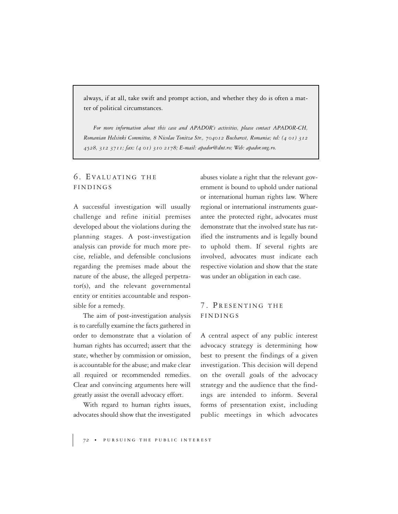always, if at all, take swift and prompt action, and whether they do is often a matter of political circumstances.

*For more information about this case and APADOR's activities, please contact APADOR-CH, Romanian Helsinki Committee, 8 Nicolae Tonitza Str., 704012 Bucharest, Romania; tel: (4 01) 312 4528, 312 3711; fax: (4 01) 310 2178; E-mail: apador@dnt.ro; Web: apador.ong.ro.*

## 6. EVALUATING THE FINDINGS

A successful investigation will usually challenge and refine initial premises developed about the violations during the planning stages. A post-investigation analysis can provide for much more precise, reliable, and defensible conclusions regarding the premises made about the nature of the abuse, the alleged perpetrator(s), and the relevant governmental entity or entities accountable and responsible for a remedy.

The aim of post-investigation analysis is to carefully examine the facts gathered in order to demonstrate that a violation of human rights has occurred; assert that the state, whether by commission or omission, is accountable for the abuse; and make clear all required or recommended remedies. Clear and convincing arguments here will greatly assist the overall advocacy effort.

With regard to human rights issues, advocates should show that the investigated abuses violate a right that the relevant government is bound to uphold under national or international human rights law. Where regional or international instruments guarantee the protected right, advocates must demonstrate that the involved state has ratified the instruments and is legally bound to uphold them. If several rights are involved, advocates must indicate each respective violation and show that the state was under an obligation in each case.

### 7. PRESENTING THE FINDINGS

A central aspect of any public interest advocacy strategy is determining how best to present the findings of a given investigation. This decision will depend on the overall goals of the advocacy strategy and the audience that the findings are intended to inform. Several forms of presentation exist, including public meetings in which advocates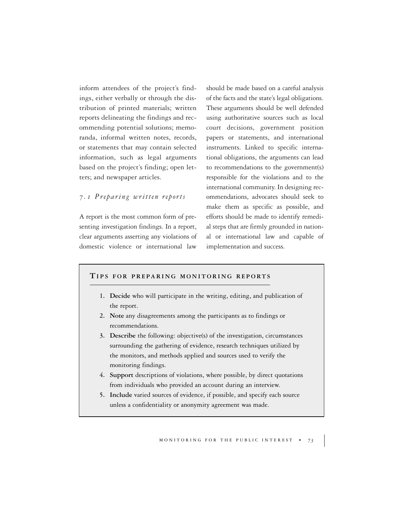inform attendees of the project's findings, either verbally or through the distribution of printed materials; written reports delineating the findings and recommending potential solutions; memoranda, informal written notes, records, or statements that may contain selected information, such as legal arguments based on the project's finding; open letters; and newspaper articles.

#### *7.1 Preparing written reports*

A report is the most common form of presenting investigation findings. In a report, clear arguments asserting any violations of domestic violence or international law

should be made based on a careful analysis of the facts and the state's legal obligations. These arguments should be well defended using authoritative sources such as local court decisions, government position papers or statements, and international instruments. Linked to specific international obligations, the arguments can lead to recommendations to the government(s) responsible for the violations and to the international community. In designing recommendations, advocates should seek to make them as specific as possible, and efforts should be made to identify remedial steps that are firmly grounded in national or international law and capable of implementation and success.

#### **TIPS FOR PREPARING MONITORING REPORTS**

- **1. Decide** who will participate in the writing, editing, and publication of the report.
- **2. Note** any disagreements among the participants as to findings or recommendations.
- **3. Describe** the following: objective(s) of the investigation, circumstances surrounding the gathering of evidence, research techniques utilized by the monitors, and methods applied and sources used to verify the monitoring findings.
- **4. Support** descriptions of violations, where possible, by direct quotations from individuals who provided an account during an interview.
- **5. Include** varied sources of evidence, if possible, and specify each source unless a confidentiality or anonymity agreement was made.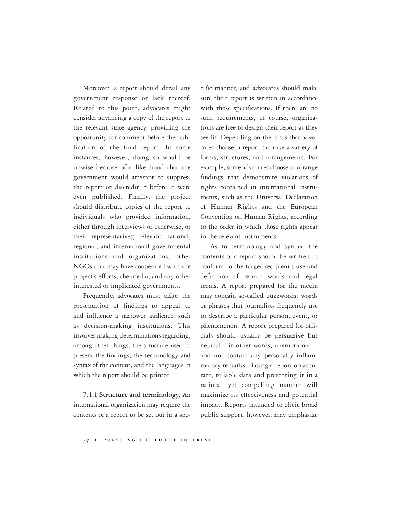Moreover, a report should detail any government response or lack thereof. Related to this point, advocates might consider advancing a copy of the report to the relevant state agency, providing the opportunity for comment before the publication of the final report. In some instances, however, doing so would be unwise because of a likelihood that the government would attempt to suppress the report or discredit it before it were even published. Finally, the project should distribute copies of the report to individuals who provided information, either through interviews or otherwise, or their representatives; relevant national, regional, and international governmental institutions and organizations; other NGOs that may have cooperated with the project's efforts; the media; and any other interested or implicated governments.

Frequently, advocates must tailor the presentation of findings to appeal to and influence a narrower audience, such as decision-making institutions. This involves making determinations regarding, among other things, the structure used to present the findings, the terminology and syntax of the content, and the languages in which the report should be printed.

**7.1.1 Structure and terminology.** An international organization may require the contents of a report to be set out in a specific manner, and advocates should make sure their report is written in accordance with those specifications. If there are no such requirements, of course, organizations are free to design their report as they see fit. Depending on the focus that advocates choose, a report can take a variety of forms, structures, and arrangements. For example, some advocates choose to arrange findings that demonstrate violations of rights contained in international instruments, such as the Universal Declaration of Human Rights and the European Convention on Human Rights, according to the order in which those rights appear in the relevant instruments.

As to terminology and syntax, the contents of a report should be written to conform to the target recipient's use and definition of certain words and legal terms. A report prepared for the media may contain so-called buzzwords: words or phrases that journalists frequently use to describe a particular person, event, or phenomenon. A report prepared for officials should usually be persuasive but neutral—in other words, unemotional and not contain any personally inflammatory remarks. Basing a report on accurate, reliable data and presenting it in a rational yet compelling manner will maximize its effectiveness and potential impact. Reports intended to elicit broad public support, however, may emphasize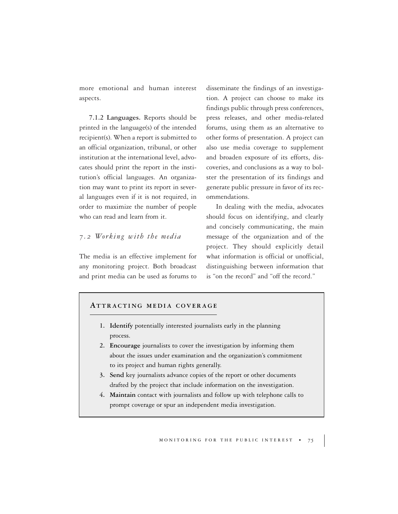more emotional and human interest aspects.

**7.1.2 Languages.** Reports should be printed in the language(s) of the intended recipient(s). When a report is submitted to an official organization, tribunal, or other institution at the international level, advocates should print the report in the institution's official languages. An organization may want to print its report in several languages even if it is not required, in order to maximize the number of people who can read and learn from it.

#### *7.2 Working with the media*

The media is an effective implement for any monitoring project. Both broadcast and print media can be used as forums to disseminate the findings of an investigation. A project can choose to make its findings public through press conferences, press releases, and other media-related forums, using them as an alternative to other forms of presentation. A project can also use media coverage to supplement and broaden exposure of its efforts, discoveries, and conclusions as a way to bolster the presentation of its findings and generate public pressure in favor of its recommendations.

In dealing with the media, advocates should focus on identifying, and clearly and concisely communicating, the main message of the organization and of the project. They should explicitly detail what information is official or unofficial, distinguishing between information that is "on the record" and "off the record."

#### **ATTRACTING MEDIA COVERAGE**

- **1. Identify** potentially interested journalists early in the planning process.
- **2. Encourage** journalists to cover the investigation by informing them about the issues under examination and the organization's commitment to its project and human rights generally.
- **3. Send** key journalists advance copies of the report or other documents drafted by the project that include information on the investigation.
- **4. Maintain** contact with journalists and follow up with telephone calls to prompt coverage or spur an independent media investigation.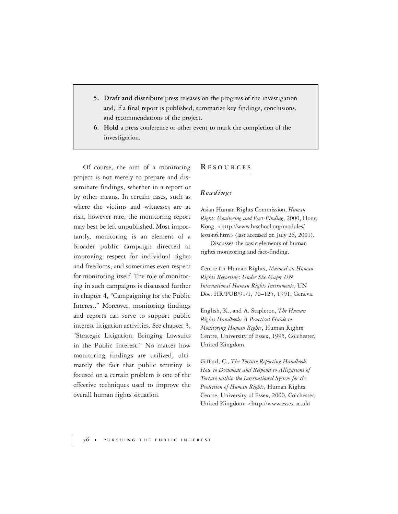- **5. Draft and distribute** press releases on the progress of the investigation and, if a final report is published, summarize key findings, conclusions, and recommendations of the project.
- **6. Hold** a press conference or other event to mark the completion of the investigation.

Of course, the aim of a monitoring project is not merely to prepare and disseminate findings, whether in a report or by other means. In certain cases, such as where the victims and witnesses are at risk, however rare, the monitoring report may best be left unpublished. Most importantly, monitoring is an element of a broader public campaign directed at improving respect for individual rights and freedoms, and sometimes even respect for monitoring itself. The role of monitoring in such campaigns is discussed further in chapter 4, "Campaigning for the Public Interest." Moreover, monitoring findings and reports can serve to support public interest litigation activities. See chapter 3, "Strategic Litigation: Bringing Lawsuits in the Public Interest." No matter how monitoring findings are utilized, ultimately the fact that public scrutiny is focused on a certain problem is one of the effective techniques used to improve the overall human rights situation.

#### **R ESOURCES**

#### *Readings*

Asian Human Rights Commission, *Human Rights Monitoring and Fact-Finding*, 2000, Hong Kong. <http://www.hrschool.org/modules/ lesson6.htm> (last accessed on July 26, 2001).

Discusses the basic elements of human rights monitoring and fact-finding.

Centre for Human Rights, *Manual on Human Rights Reporting: Under Six Major UN International Human Rights Instruments*, UN Doc. HR/PUB/91/1, 70–125, 1991, Geneva.

English, K., and A. Stapleton, *The Human Rights Handbook: A Practical Guide to Monitoring Human Rights*, Human Rights Centre, University of Essex, 1995, Colchester, United Kingdom.

Giffard, C., *The Torture Reporting Handbook: How to Document and Respond to Allegations of Torture within the International System for the Protection of Human Rights*, Human Rights Centre, University of Essex, 2000, Colchester, United Kingdom. <http://www.essex.ac.uk/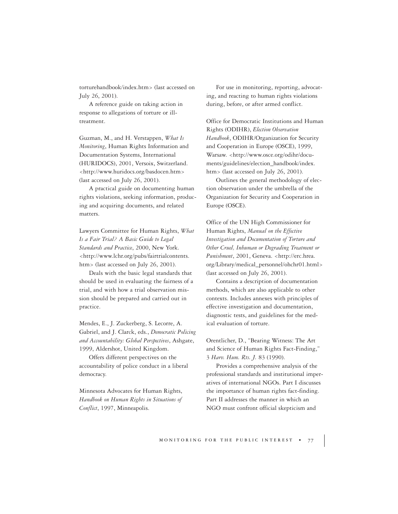torturehandbook/index.htm> (last accessed on July 26, 2001).

A reference guide on taking action in response to allegations of torture or illtreatment.

Guzman, M., and H. Verstappen, *What Is Monitoring*, Human Rights Information and Documentation Systems, International (HURIDOCS), 2001, Versoix, Switzerland. <http://www.huridocs.org/basdocen.htm> (last accessed on July 26, 2001).

A practical guide on documenting human rights violations, seeking information, producing and acquiring documents, and related matters.

Lawyers Committee for Human Rights, *What Is a Fair Trial? A Basic Guide to Legal Standards and Practice*, 2000, New York. <http://www.lchr.org/pubs/fairtrialcontents. htm> (last accessed on July 26, 2001).

Deals with the basic legal standards that should be used in evaluating the fairness of a trial, and with how a trial observation mission should be prepared and carried out in practice.

Mendes, E., J. Zuckerberg, S. Lecorre, A. Gabriel, and J. Clarck, eds., *Democratic Policing and Accountability: Global Perspectives*, Ashgate, 1999, Aldershot, United Kingdom.

Offers different perspectives on the accountability of police conduct in a liberal democracy.

Minnesota Advocates for Human Rights, *Handbook on Human Rights in Situations of Conflict*, 1997, Minneapolis.

For use in monitoring, reporting, advocating, and reacting to human rights violations during, before, or after armed conflict.

Office for Democratic Institutions and Human Rights (ODIHR), *Election Observation Handbook*, ODIHR/Organization for Security and Cooperation in Europe (OSCE), 1999, Warsaw. <http://www.osce.org/odihr/documents/guidelines/election\_handbook/index. htm> (last accessed on July 26, 2001).

Outlines the general methodology of election observation under the umbrella of the Organization for Security and Cooperation in Europe (OSCE).

Office of the UN High Commissioner for Human Rights, *Manual on the Effective Investigation and Documentation of Torture and Other Cruel, Inhuman or Degrading Treatment or Punishment*, 2001, Geneva. <http://erc.hrea. org/Library/medical\_personnel/ohchr01.html> (last accessed on July 26, 2001).

Contains a description of documentation methods, which are also applicable to other contexts. Includes annexes with principles of effective investigation and documentation, diagnostic tests, and guidelines for the medical evaluation of torture.

Orentlicher, D., "Bearing Witness: The Art and Science of Human Rights Fact-Finding," 3 *Harv. Hum. Rts. J.* 83 (1990).

Provides a comprehensive analysis of the professional standards and institutional imperatives of international NGOs. Part I discusses the importance of human rights fact-finding. Part II addresses the manner in which an NGO must confront official skepticism and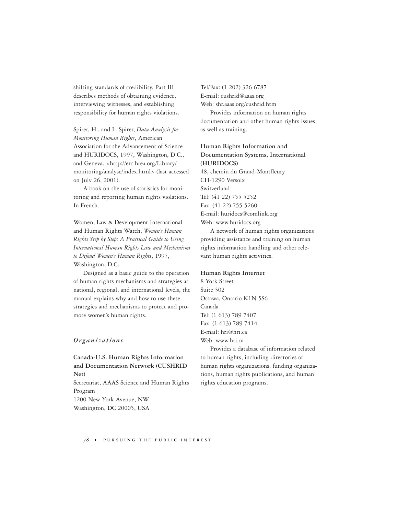shifting standards of credibility. Part III describes methods of obtaining evidence, interviewing witnesses, and establishing responsibility for human rights violations.

Spirer, H., and L. Spirer, *Data Analysis for Monitoring Human Rights*, American Association for the Advancement of Science and HURIDOCS, 1997, Washington, D.C., and Geneva. <http://erc.hrea.org/Library/ monitoring/analyse/index.html> (last accessed on July 26, 2001).

A book on the use of statistics for monitoring and reporting human rights violations. In French.

Women, Law & Development International and Human Rights Watch, *Women's Human Rights Step by Step: A Practical Guide to Using International Human Rights Law and Mechanisms to Defend Women's Human Rights*, 1997, Washington, D.C.

Designed as a basic guide to the operation of human rights mechanisms and strategies at national, regional, and international levels, the manual explains why and how to use these strategies and mechanisms to protect and promote women's human rights.

#### *Organizations*

**Canada-U.S. Human Rights Information and Documentation Network (CUSHRID Net)** Secretariat, AAAS Science and Human Rights Program 1200 New York Avenue, NW Washington, DC 20005, USA

Tel/Fax: (1 202) 326 6787 E-mail: cushrid@aaas.org Web: shr.aaas.org/cushrid.htm Provides information on human rights documentation and other human rights issues, as well as training.

**Human Rights Information and Documentation Systems, International (HURIDOCS)** 48, chemin du Grand-Montfleury CH-1290 Versoix Switzerland Tel: (41 22) 755 5252 Fax: (41 22) 755 5260 E-mail: huridocs@comlink.org Web: www.huridocs.org

A network of human rights organizations providing assistance and training on human rights information handling and other relevant human rights activities.

#### **Human Rights Internet**

8 York Street Suite 302 Ottawa, Ontario K1N 5S6 Canada Tel: (1 613) 789 7407 Fax: (1 613) 789 7414 E-mail: hri@hri.ca Web: www.hri.ca

Provides a database of information related to human rights, including directories of human rights organizations, funding organizations, human rights publications, and human rights education programs.